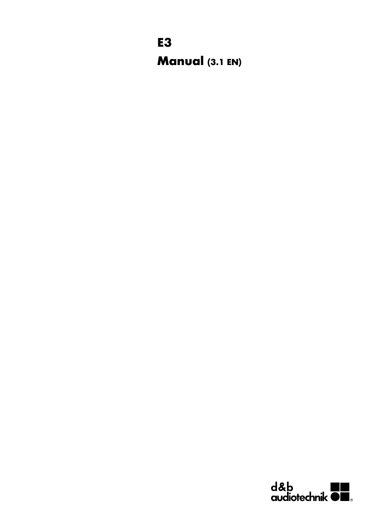# **E3 Manual (3.1 EN)**

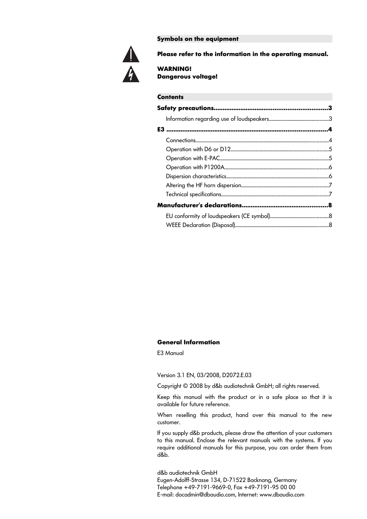**Symbols on the equipment**



**Please refer to the information in the operating manual.**

**WARNING! Dangerous voltage!**

#### **Contents**

#### **General Information**

E3 Manual

Version 3.1 EN, 03/2008, D2072.E.03

Copyright © 2008 by d&b audiotechnik GmbH; all rights reserved.

Keep this manual with the product or in a safe place so that it is available for future reference.

When reselling this product, hand over this manual to the new customer.

If you supply d&b products, please draw the attention of your customers to this manual. Enclose the relevant manuals with the systems. If you require additional manuals for this purpose, you can order them from d&b.

d&b audiotechnik GmbH Eugen-Adolff-Strasse 134, D-71522 Backnang, Germany Telephone +49-7191-9669-0, Fax +49-7191-95 00 00 E-mail: docadmin@dbaudio.com, Internet: www.dbaudio.com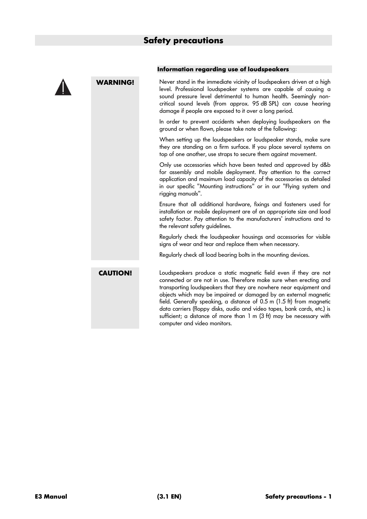

#### **Information regarding use of loudspeakers**

**WARNING!** Never stand in the immediate vicinity of loudspeakers driven at a high level. Professional loudspeaker systems are capable of causing a sound pressure level detrimental to human health. Seemingly noncritical sound levels (from approx. 95 dB SPL) can cause hearing damage if people are exposed to it over a long period.

> In order to prevent accidents when deploying loudspeakers on the ground or when flown, please take note of the following:

> When setting up the loudspeakers or loudspeaker stands, make sure they are standing on a firm surface. If you place several systems on top of one another, use straps to secure them against movement.

> Only use accessories which have been tested and approved by d&b for assembly and mobile deployment. Pay attention to the correct application and maximum load capacity of the accessories as detailed in our specific "Mounting instructions" or in our "Flying system and rigging manuals".

> Ensure that all additional hardware, fixings and fasteners used for installation or mobile deployment are of an appropriate size and load safety factor. Pay attention to the manufacturers' instructions and to the relevant safety guidelines.

> Regularly check the loudspeaker housings and accessories for visible signs of wear and tear and replace them when necessary.

Regularly check all load bearing bolts in the mounting devices.

**CAUTION!** Loudspeakers produce a static magnetic field even if they are not connected or are not in use. Therefore make sure when erecting and transporting loudspeakers that they are nowhere near equipment and objects which may be impaired or damaged by an external magnetic field. Generally speaking, a distance of 0.5 m (1.5 ft) from magnetic data carriers (floppy disks, audio and video tapes, bank cards, etc.) is sufficient; a distance of more than 1 m (3 ft) may be necessary with computer and video monitors.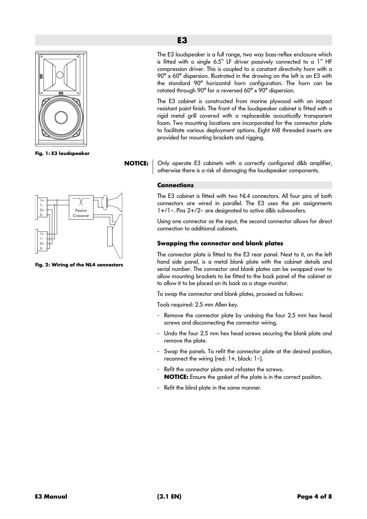

**Fig. 1: E3 loudspeaker**



**Fig. 2: Wiring of the NL4 connectors**

The E3 loudspeaker is a full range, two way bass-reflex enclosure which is fitted with a single 6.5" LF driver passively connected to a 1" HF compression driver. This is coupled to a constant directivity horn with a 90° x 60° dispersion. Illustrated in the drawing on the left is an E3 with the standard 90° horizontal horn configuration. The horn can be rotated through 90° for a reversed 60° x 90° dispersion.

The E3 cabinet is constructed from marine plywood with an impact resistant paint finish. The front of the loudspeaker cabinet is fitted with a rigid metal grill covered with a replaceable acoustically transparent foam. Two mounting locations are incorporated for the connector plate to facilitate various deployment options. Eight M8 threaded inserts are provided for mounting brackets and rigging.

**NOTICE:** Only operate E3 cabinets with a correctly configured d&b amplifier, otherwise there is a risk of damaging the loudspeaker components.

#### **Connections**

The E3 cabinet is fitted with two NL4 connectors. All four pins of both connectors are wired in parallel. The E3 uses the pin assignments 1+/1–. Pins 2+/2– are designated to active d&b subwoofers.

Using one connector as the input, the second connector allows for direct connection to additional cabinets.

#### **Swapping the connector and blank plates**

The connector plate is fitted to the E3 rear panel. Next to it, on the left hand side panel, is a metal blank plate with the cabinet details and serial number. The connector and blank plates can be swapped over to allow mounting brackets to be fitted to the back panel of the cabinet or to allow it to be placed on its back as a stage monitor.

To swap the connector and blank plates, proceed as follows:

Tools required: 2.5 mm Allen key.

- Remove the connector plate by undoing the four 2.5 mm hex head screws and disconnecting the connector wiring.
- Undo the four 2.5 mm hex head screws securing the blank plate and remove the plate.
- Swap the panels. To refit the connector plate at the desired position, reconnect the wiring (red: 1+, black: 1–).
- Refit the connector plate and refasten the screws. **NOTICE:** Ensure the gasket of the plate is in the correct position.
- Refit the blind plate in the same manner.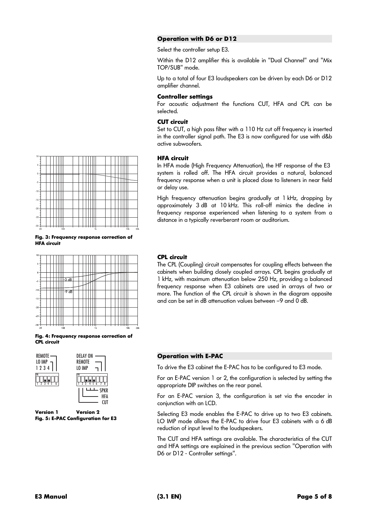### **Operation with D6 or D12**

Select the controller setup E3.

Within the D12 amplifier this is available in "Dual Channel" and "Mix TOP/SUB" mode.

Up to a total of four E3 loudspeakers can be driven by each D6 or D12 amplifier channel.

#### **Controller settings**

For acoustic adjustment the functions CUT, HFA and CPL can be selected.

#### **CUT circuit**

Set to CUT, a high pass filter with a 110 Hz cut off frequency is inserted in the controller signal path. The E3 is now configured for use with d&b active subwoofers.

#### **HFA circuit**

In HFA mode (High Frequency Attenuation), the HF response of the E3 system is rolled off. The HFA circuit provides a natural, balanced frequency response when a unit is placed close to listeners in near field or delay use.

High frequency attenuation begins gradually at 1 kHz, dropping by approximately 3 dB at 10 kHz. This roll-off mimics the decline in frequency response experienced when listening to a system from a distance in a typically reverberant room or auditorium.



**Fig. 3: Frequency response correction of HFA circuit**



**Fig. 4: Frequency response correction of CPL circuit**



**Version 1 Version 2 Fig. 5: E-PAC Configuration for E3** 

#### **CPL circuit**

The CPL (Coupling) circuit compensates for coupling effects between the cabinets when building closely coupled arrays. CPL begins gradually at 1 kHz, with maximum attenuation below 250 Hz, providing a balanced frequency response when E3 cabinets are used in arrays of two or more. The function of the CPL circuit is shown in the diagram opposite and can be set in dB attenuation values between –9 and 0 dB.

#### **Operation with E-PAC**

To drive the E3 cabinet the E-PAC has to be configured to E3 mode.

For an E-PAC version 1 or 2, the configuration is selected by setting the appropriate DIP switches on the rear panel.

For an E-PAC version 3, the configuration is set via the encoder in conjunction with an LCD.

Selecting E3 mode enables the E-PAC to drive up to two E3 cabinets. LO IMP mode allows the E-PAC to drive four E3 cabinets with a 6 dB reduction of input level to the loudspeakers.

The CUT and HFA settings are available. The characteristics of the CUT and HFA settings are explained in the previous section "Operation with D6 or D12 - Controller settings".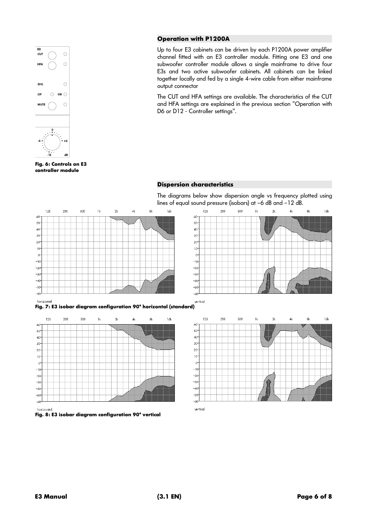

**Fig. 6: Controls on E3 controller module**

#### **Operation with P1200A**

Up to four E3 cabinets can be driven by each P1200A power amplifier channel fitted with an E3 controller module. Fitting one E3 and one subwoofer controller module allows a single mainframe to drive four E3s and two active subwoofer cabinets. All cabinets can be linked together locally and fed by a single 4-wire cable from either mainframe output connector

The CUT and HFA settings are available. The characteristics of the CUT and HFA settings are explained in the previous section "Operation with D6 or D12 - Controller settings".

#### **Dispersion characteristics**

60

sor  $\overline{40}$ 

30

 $\infty$  $10<sup>2</sup>$ 

 $\alpha$ 

 $-10$ 

 $-20$ 

 $-30$ -40

-50

u.<br>K

125

250

The diagrams below show dispersion angle vs frequency plotted using lines of equal sound pressure (isobars) at –6 dB and –12 dB.

 $1<sup>k</sup>$ 

 $\alpha$ 

 $\mathbf{A}$ 

.<br>Sk

 $16k$ 

500



vertical horizontal **Fig. 7: E3 isobar diagram configuration 90° horizontal (standard)**





horizontal

**Fig. 8: E3 isobar diagram configuration 90° vertical**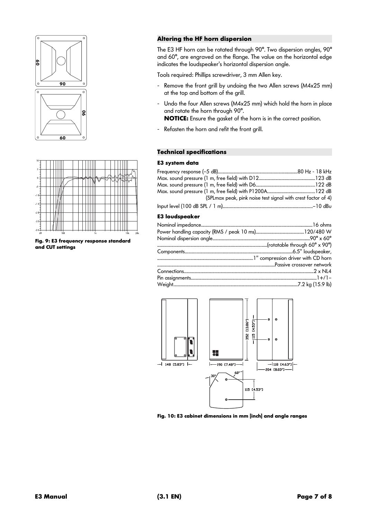



**Fig. 9: E3 frequency response standard and CUT settings**

#### **Altering the HF horn dispersion**

The E3 HF horn can be rotated through 90°. Two dispersion angles, 90° and 60°, are engraved on the flange. The value on the horizontal edge indicates the loudspeaker's horizontal dispersion angle.

Tools required: Phillips screwdriver, 3 mm Allen key.

- Remove the front grill by undoing the two Allen screws (M4x25 mm) at the top and bottom of the grill.
- Undo the four Allen screws (M4x25 mm) which hold the horn in place and rotate the horn through 90°.

**NOTICE:** Ensure the gasket of the horn is in the correct position.

- Refasten the horn and refit the front grill.

#### **Technical specifications**

#### **E3 system data**

| Max. sound pressure (1 m, free field) with P1200A…………………………………122 dB |  |
|----------------------------------------------------------------------|--|
| (SPLmax peak, pink noise test signal with crest factor of 4)         |  |
|                                                                      |  |
|                                                                      |  |

#### **E3 loudspeaker**



**Fig. 10: E3 cabinet dimensions in mm [inch] and angle ranges**